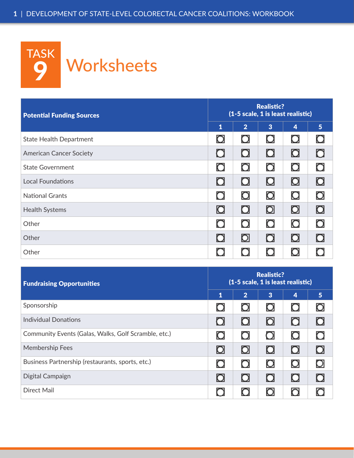

| <b>Potential Funding Sources</b> | <b>Realistic?</b><br>(1-5 scale, 1 is least realistic) |                       |                         |                         |                  |
|----------------------------------|--------------------------------------------------------|-----------------------|-------------------------|-------------------------|------------------|
|                                  | $\mathbf{1}$                                           | 2 <sup>1</sup>        | $\overline{3}$          | $\overline{\mathbf{4}}$ | 5 <sup>1</sup>   |
| <b>State Health Department</b>   | O                                                      | $\mathbf \Omega$      | $\mathbf \Omega$        | $\Box$                  | O                |
| <b>American Cancer Society</b>   | $\Box$                                                 | $\Box$                | $\Box$                  | $\Box$                  | O                |
| <b>State Government</b>          | $\mathbf C$                                            | $\mathsf{O}$          | $\mathsf{O}$            | $\mathbf O$             | O                |
| Local Foundations                | 0                                                      | $\Box$                | $\Box$                  | $\Box$                  | $\mathbf \Omega$ |
| <b>National Grants</b>           | $\mathbf \Omega$                                       | $\mathbf{\mathsf{O}}$ | $\overline{\mathsf{O}}$ | $\mathbf O$             | O                |
| <b>Health Systems</b>            | $\Box$                                                 | $\Box$                | $\Box$                  | $\Box$                  | $\mathbf \Omega$ |
| Other                            | $\Box$                                                 | $\mathbf \Omega$      | $\bigcirc$              | $\mathbf{\Omega}$       | O                |
| Other                            | $\Box$                                                 | 0                     | $\overline{O}$          | $\Box$                  | O                |
| Other                            | $\cup$                                                 | $\bigcirc$            | $\Box$                  | O                       |                  |

| <b>Fundraising Opportunities</b>                     |                   | <b>Realistic?</b><br>(1-5 scale, 1 is least realistic) |                     |                |                |  |
|------------------------------------------------------|-------------------|--------------------------------------------------------|---------------------|----------------|----------------|--|
|                                                      | 1                 | $\overline{2}$                                         | $\overline{3}$      | $\overline{4}$ | 5 <sup>5</sup> |  |
| Sponsorship                                          | O                 | O                                                      | $\bm{\mathsf{O}}$   | $\cup$         | O              |  |
| <b>Individual Donations</b>                          | O                 | $\Box$                                                 | $\mathsf{O}$        | $\Box$         | O              |  |
| Community Events (Galas, Walks, Golf Scramble, etc.) | $\mathbf{\Omega}$ | O                                                      | $\circlearrowright$ | $\mathbf O$    | O              |  |
| <b>Membership Fees</b>                               | 0                 | 0                                                      | $\Box$              | $\Box$         | O              |  |
| Business Partnership (restaurants, sports, etc.)     | $\Box$            | O                                                      | $\mathbf O$         | $\mathbf O$    | $\bigcirc$     |  |
| Digital Campaign                                     | 0                 | $\Box$                                                 | $\Box$              | $\Box$         | O              |  |
| <b>Direct Mail</b>                                   |                   | $\bigcirc$                                             | $\circlearrowright$ | O              |                |  |